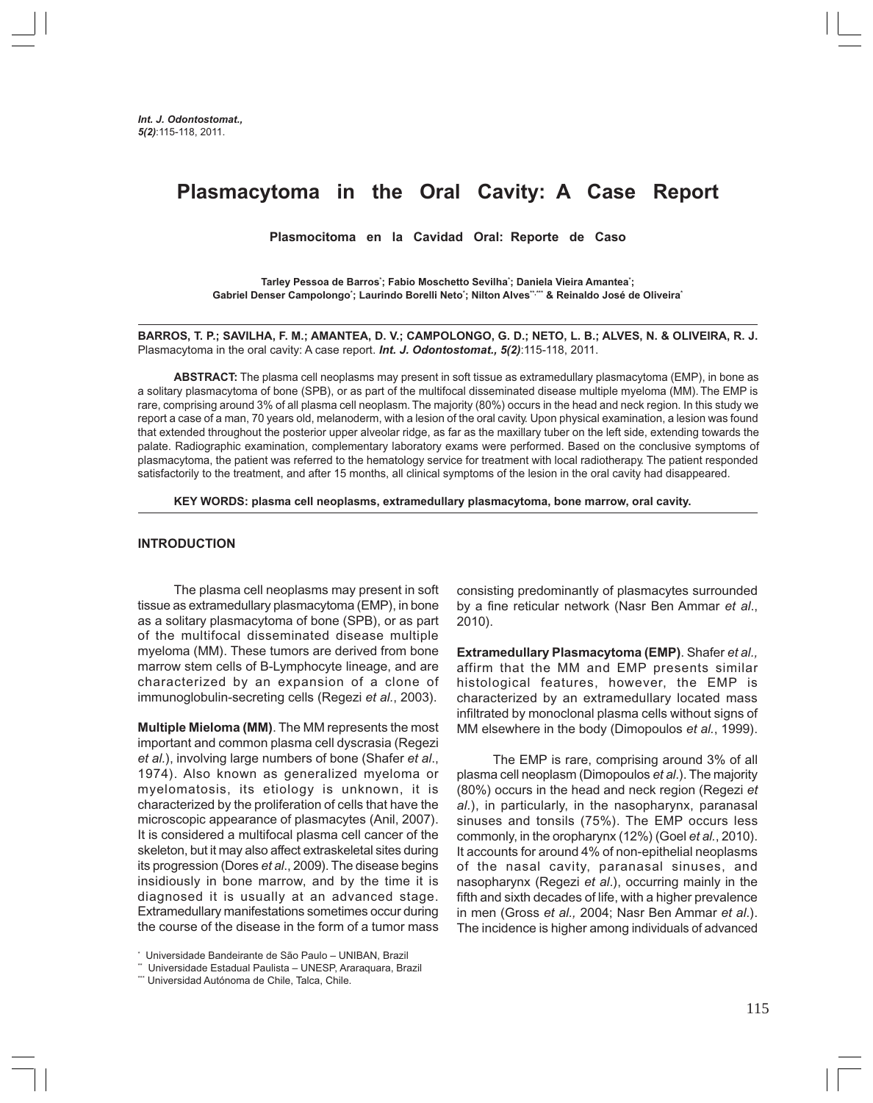# **Plasmacytoma in the Oral Cavity: A Case Report**

**Plasmocitoma en la Cavidad Oral: Reporte de Caso**

**Tarley Pessoa de Barros\* ; Fabio Moschetto Sevilha\* ; Daniela Vieira Amantea\* ; Gabriel Denser Campolongo\* ; Laurindo Borelli Neto\* ; Nilton Alves\*\*,\*\*\* & Reinaldo José de Oliveira\***

**BARROS, T. P.; SAVILHA, F. M.; AMANTEA, D. V.; CAMPOLONGO, G. D.; NETO, L. B.; ALVES, N. & OLIVEIRA, R. J.** Plasmacytoma in the oral cavity: A case report. *Int. J. Odontostomat., 5(2)*:115-118, 2011.

**ABSTRACT:** The plasma cell neoplasms may present in soft tissue as extramedullary plasmacytoma (EMP), in bone as a solitary plasmacytoma of bone (SPB), or as part of the multifocal disseminated disease multiple myeloma (MM). The EMP is rare, comprising around 3% of all plasma cell neoplasm. The majority (80%) occurs in the head and neck region. In this study we report a case of a man, 70 years old, melanoderm, with a lesion of the oral cavity. Upon physical examination, a lesion was found that extended throughout the posterior upper alveolar ridge, as far as the maxillary tuber on the left side, extending towards the palate. Radiographic examination, complementary laboratory exams were performed. Based on the conclusive symptoms of plasmacytoma, the patient was referred to the hematology service for treatment with local radiotherapy. The patient responded satisfactorily to the treatment, and after 15 months, all clinical symptoms of the lesion in the oral cavity had disappeared.

**KEY WORDS: plasma cell neoplasms, extramedullary plasmacytoma, bone marrow, oral cavity.**

#### **INTRODUCTION**

The plasma cell neoplasms may present in soft tissue as extramedullary plasmacytoma (EMP), in bone as a solitary plasmacytoma of bone (SPB), or as part of the multifocal disseminated disease multiple myeloma (MM). These tumors are derived from bone marrow stem cells of B-Lymphocyte lineage, and are characterized by an expansion of a clone of immunoglobulin-secreting cells (Regezi *et al.*, 2003).

**Multiple Mieloma (MM)**. The MM represents the most important and common plasma cell dyscrasia (Regezi *et al.*), involving large numbers of bone (Shafer *et al*., 1974). Also known as generalized myeloma or myelomatosis, its etiology is unknown, it is characterized by the proliferation of cells that have the microscopic appearance of plasmacytes (Anil, 2007). It is considered a multifocal plasma cell cancer of the skeleton, but it may also affect extraskeletal sites during its progression (Dores *et al*., 2009). The disease begins insidiously in bone marrow, and by the time it is diagnosed it is usually at an advanced stage. Extramedullary manifestations sometimes occur during the course of the disease in the form of a tumor mass

consisting predominantly of plasmacytes surrounded by a fine reticular network (Nasr Ben Ammar *et al*., 2010).

**Extramedullary Plasmacytoma (EMP)**. Shafer *et al.,* affirm that the MM and EMP presents similar histological features, however, the EMP is characterized by an extramedullary located mass infiltrated by monoclonal plasma cells without signs of MM elsewhere in the body (Dimopoulos *et al.*, 1999).

The EMP is rare, comprising around 3% of all plasma cell neoplasm (Dimopoulos *et al*.). The majority (80%) occurs in the head and neck region (Regezi *et al.*), in particularly, in the nasopharynx, paranasal sinuses and tonsils (75%). The EMP occurs less commonly, in the oropharynx (12%) (Goel *et al.*, 2010). It accounts for around 4% of non-epithelial neoplasms of the nasal cavity, paranasal sinuses, and nasopharynx (Regezi *et al*.), occurring mainly in the fifth and sixth decades of life, with a higher prevalence in men (Gross *et al.,* 2004; Nasr Ben Ammar *et al*.). The incidence is higher among individuals of advanced

<sup>\*</sup> Universidade Bandeirante de São Paulo – UNIBAN, Brazil

<sup>\*\*</sup> Universidade Estadual Paulista – UNESP, Araraquara, Brazil

<sup>\*\*\*</sup> Universidad Autónoma de Chile, Talca, Chile.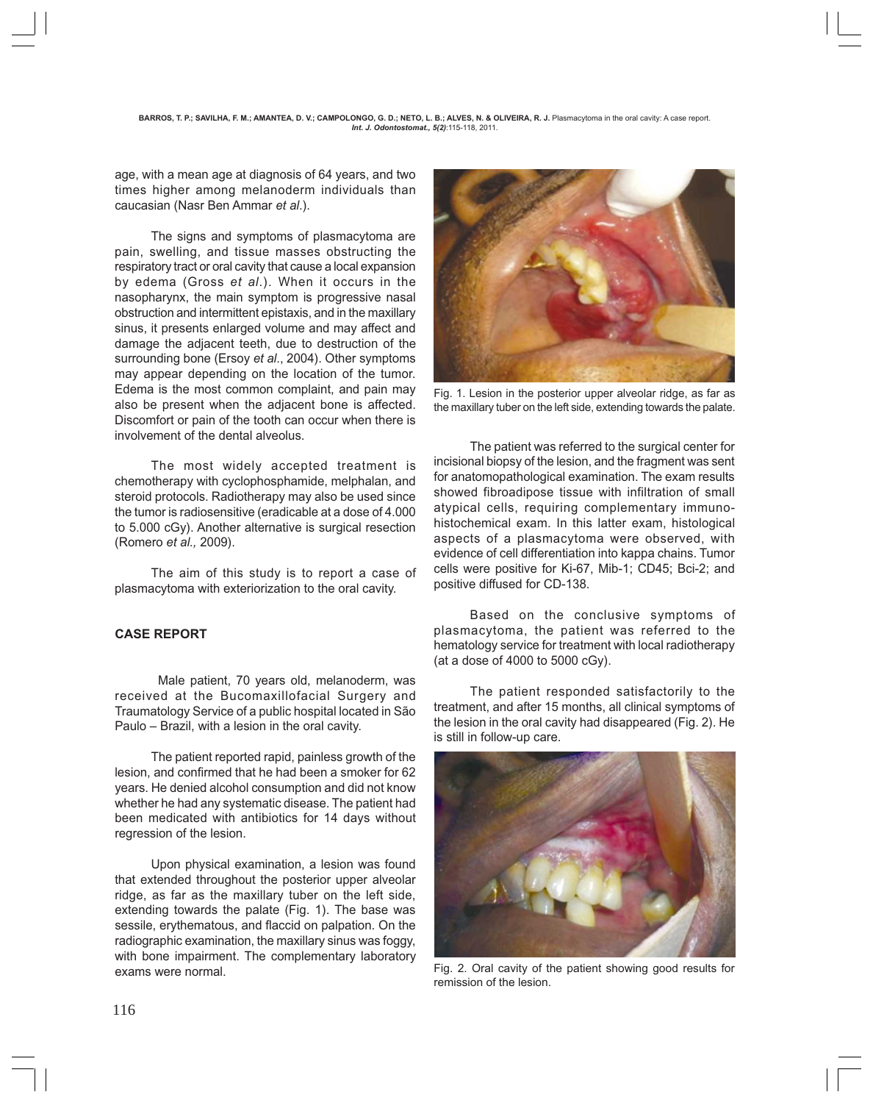age, with a mean age at diagnosis of 64 years, and two times higher among melanoderm individuals than caucasian (Nasr Ben Ammar *et al*.).

The signs and symptoms of plasmacytoma are pain, swelling, and tissue masses obstructing the respiratory tract or oral cavity that cause a local expansion by edema (Gross *et al*.). When it occurs in the nasopharynx, the main symptom is progressive nasal obstruction and intermittent epistaxis, and in the maxillary sinus, it presents enlarged volume and may affect and damage the adjacent teeth, due to destruction of the surrounding bone (Ersoy *et al*., 2004). Other symptoms may appear depending on the location of the tumor. Edema is the most common complaint, and pain may also be present when the adjacent bone is affected. Discomfort or pain of the tooth can occur when there is involvement of the dental alveolus.

The most widely accepted treatment is chemotherapy with cyclophosphamide, melphalan, and steroid protocols. Radiotherapy may also be used since the tumor is radiosensitive (eradicable at a dose of 4.000 to 5.000 cGy). Another alternative is surgical resection (Romero *et al.,* 2009).

The aim of this study is to report a case of plasmacytoma with exteriorization to the oral cavity.

### **CASE REPORT**

 Male patient, 70 years old, melanoderm, was received at the Bucomaxillofacial Surgery and Traumatology Service of a public hospital located in São Paulo – Brazil, with a lesion in the oral cavity.

The patient reported rapid, painless growth of the lesion, and confirmed that he had been a smoker for 62 years. He denied alcohol consumption and did not know whether he had any systematic disease. The patient had been medicated with antibiotics for 14 days without regression of the lesion.

Upon physical examination, a lesion was found that extended throughout the posterior upper alveolar ridge, as far as the maxillary tuber on the left side, extending towards the palate (Fig. 1). The base was sessile, erythematous, and flaccid on palpation. On the radiographic examination, the maxillary sinus was foggy, with bone impairment. The complementary laboratory exams were normal.



Fig. 1. Lesion in the posterior upper alveolar ridge, as far as the maxillary tuber on the left side, extending towards the palate.

The patient was referred to the surgical center for incisional biopsy of the lesion, and the fragment was sent for anatomopathological examination. The exam results showed fibroadipose tissue with infiltration of small atypical cells, requiring complementary immunohistochemical exam. In this latter exam, histological aspects of a plasmacytoma were observed, with evidence of cell differentiation into kappa chains. Tumor cells were positive for Ki-67, Mib-1; CD45; Bci-2; and positive diffused for CD-138.

Based on the conclusive symptoms of plasmacytoma, the patient was referred to the hematology service for treatment with local radiotherapy (at a dose of 4000 to 5000 cGy).

The patient responded satisfactorily to the treatment, and after 15 months, all clinical symptoms of the lesion in the oral cavity had disappeared (Fig. 2). He is still in follow-up care.



Fig. 2. Oral cavity of the patient showing good results for remission of the lesion.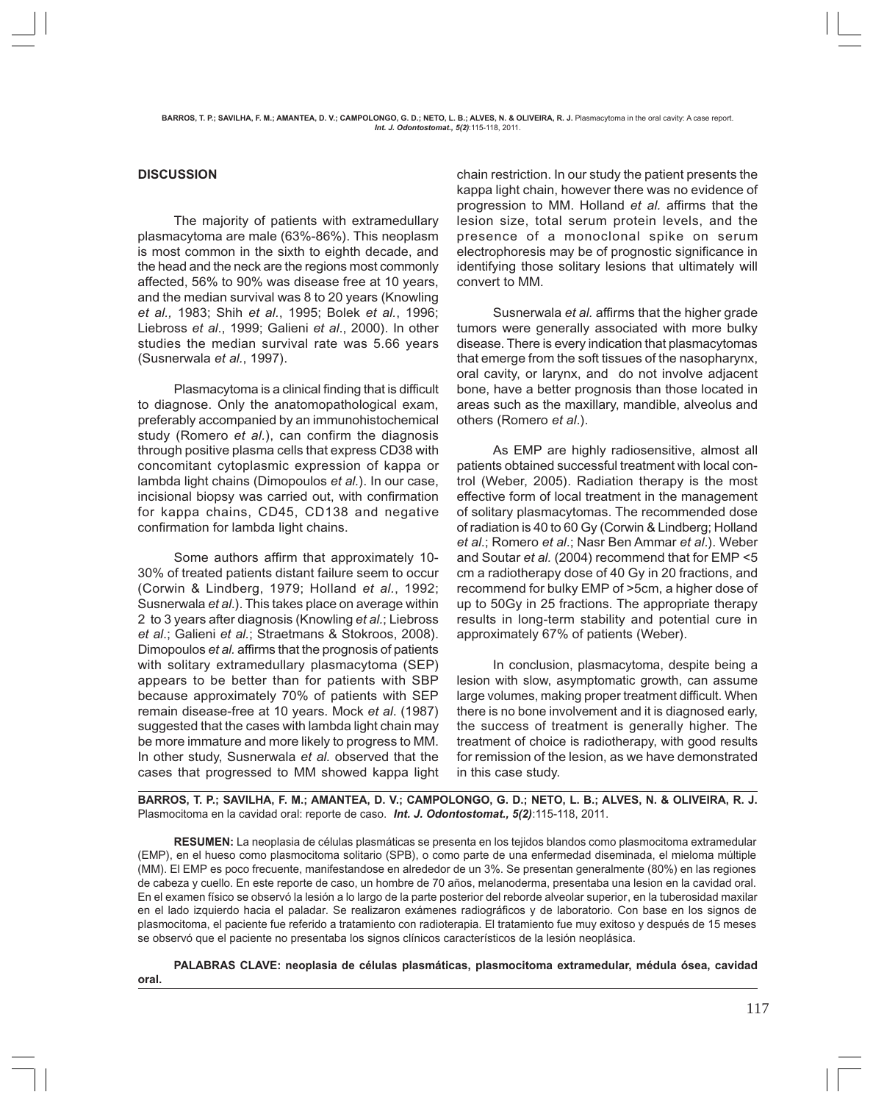#### **DISCUSSION**

The majority of patients with extramedullary plasmacytoma are male (63%-86%). This neoplasm is most common in the sixth to eighth decade, and the head and the neck are the regions most commonly affected, 56% to 90% was disease free at 10 years, and the median survival was 8 to 20 years (Knowling *et al.,* 1983; Shih *et al.*, 1995; Bolek *et al.*, 1996; Liebross *et al*., 1999; Galieni *et al*., 2000). In other studies the median survival rate was 5.66 years (Susnerwala *et al.*, 1997).

Plasmacytoma is a clinical finding that is difficult to diagnose. Only the anatomopathological exam, preferably accompanied by an immunohistochemical study (Romero *et al.*), can confirm the diagnosis through positive plasma cells that express CD38 with concomitant cytoplasmic expression of kappa or lambda light chains (Dimopoulos *et al.*). In our case, incisional biopsy was carried out, with confirmation for kappa chains, CD45, CD138 and negative confirmation for lambda light chains.

Some authors affirm that approximately 10- 30% of treated patients distant failure seem to occur (Corwin & Lindberg, 1979; Holland *et al.*, 1992; Susnerwala *et al*.). This takes place on average within 2 to 3 years after diagnosis (Knowling *et al.*; Liebross *et al*.; Galieni *et al.*; Straetmans & Stokroos, 2008). Dimopoulos *et al.* affirms that the prognosis of patients with solitary extramedullary plasmacytoma (SEP) appears to be better than for patients with SBP because approximately 70% of patients with SEP remain disease-free at 10 years. Mock *et al*. (1987) suggested that the cases with lambda light chain may be more immature and more likely to progress to MM. In other study, Susnerwala *et al.* observed that the cases that progressed to MM showed kappa light

chain restriction. In our study the patient presents the kappa light chain, however there was no evidence of progression to MM. Holland *et al.* affirms that the lesion size, total serum protein levels, and the presence of a monoclonal spike on serum electrophoresis may be of prognostic significance in identifying those solitary lesions that ultimately will convert to MM.

Susnerwala *et al.* affirms that the higher grade tumors were generally associated with more bulky disease. There is every indication that plasmacytomas that emerge from the soft tissues of the nasopharynx, oral cavity, or larynx, and do not involve adjacent bone, have a better prognosis than those located in areas such as the maxillary, mandible, alveolus and others (Romero *et al*.).

As EMP are highly radiosensitive, almost all patients obtained successful treatment with local control (Weber, 2005). Radiation therapy is the most effective form of local treatment in the management of solitary plasmacytomas. The recommended dose of radiation is 40 to 60 Gy (Corwin & Lindberg; Holland *et al*.; Romero *et al*.; Nasr Ben Ammar *et al*.). Weber and Soutar *et al.* (2004) recommend that for EMP <5 cm a radiotherapy dose of 40 Gy in 20 fractions, and recommend for bulky EMP of >5cm, a higher dose of up to 50Gy in 25 fractions. The appropriate therapy results in long-term stability and potential cure in approximately 67% of patients (Weber).

In conclusion, plasmacytoma, despite being a lesion with slow, asymptomatic growth, can assume large volumes, making proper treatment difficult. When there is no bone involvement and it is diagnosed early, the success of treatment is generally higher. The treatment of choice is radiotherapy, with good results for remission of the lesion, as we have demonstrated in this case study.

**BARROS, T. P.; SAVILHA, F. M.; AMANTEA, D. V.; CAMPOLONGO, G. D.; NETO, L. B.; ALVES, N. & OLIVEIRA, R. J.** Plasmocitoma en la cavidad oral: reporte de caso. *Int. J. Odontostomat., 5(2)*:115-118, 2011.

**RESUMEN:** La neoplasia de células plasmáticas se presenta en los tejidos blandos como plasmocitoma extramedular (EMP), en el hueso como plasmocitoma solitario (SPB), o como parte de una enfermedad diseminada, el mieloma múltiple (MM). El EMP es poco frecuente, manifestandose en alrededor de un 3%. Se presentan generalmente (80%) en las regiones de cabeza y cuello. En este reporte de caso, un hombre de 70 años, melanoderma, presentaba una lesion en la cavidad oral. En el examen físico se observó la lesión a lo largo de la parte posterior del reborde alveolar superior, en la tuberosidad maxilar en el lado izquierdo hacia el paladar. Se realizaron exámenes radiográficos y de laboratorio. Con base en los signos de plasmocitoma, el paciente fue referido a tratamiento con radioterapia. El tratamiento fue muy exitoso y después de 15 meses se observó que el paciente no presentaba los signos clínicos característicos de la lesión neoplásica.

**PALABRAS CLAVE: neoplasia de células plasmáticas, plasmocitoma extramedular, médula ósea, cavidad**